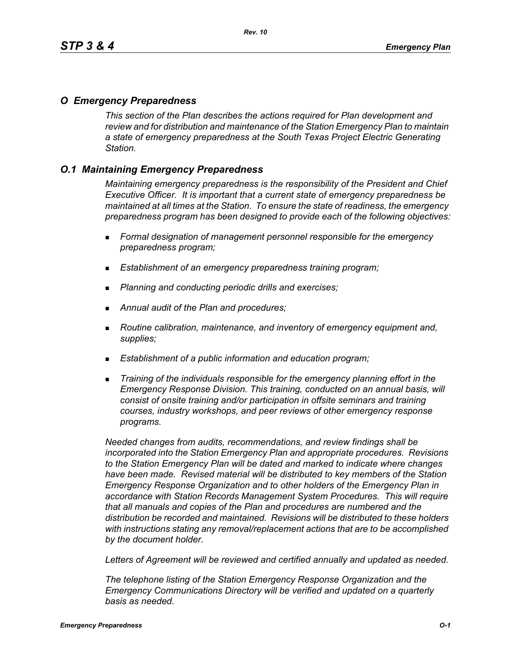# *O Emergency Preparedness*

*This section of the Plan describes the actions required for Plan development and review and for distribution and maintenance of the Station Emergency Plan to maintain a state of emergency preparedness at the South Texas Project Electric Generating Station.*

# *O.1 Maintaining Emergency Preparedness*

*Maintaining emergency preparedness is the responsibility of the President and Chief Executive Officer. It is important that a current state of emergency preparedness be maintained at all times at the Station. To ensure the state of readiness, the emergency preparedness program has been designed to provide each of the following objectives:*

- *Formal designation of management personnel responsible for the emergency preparedness program;*
- *Establishment of an emergency preparedness training program;*
- *Planning and conducting periodic drills and exercises;*
- *Annual audit of the Plan and procedures;*
- *Routine calibration, maintenance, and inventory of emergency equipment and, supplies;*
- *Establishment of a public information and education program;*
- *Training of the individuals responsible for the emergency planning effort in the Emergency Response Division. This training, conducted on an annual basis, will consist of onsite training and/or participation in offsite seminars and training courses, industry workshops, and peer reviews of other emergency response programs.*

*Needed changes from audits, recommendations, and review findings shall be incorporated into the Station Emergency Plan and appropriate procedures. Revisions to the Station Emergency Plan will be dated and marked to indicate where changes have been made. Revised material will be distributed to key members of the Station Emergency Response Organization and to other holders of the Emergency Plan in accordance with Station Records Management System Procedures. This will require that all manuals and copies of the Plan and procedures are numbered and the distribution be recorded and maintained. Revisions will be distributed to these holders with instructions stating any removal/replacement actions that are to be accomplished by the document holder.*

*Letters of Agreement will be reviewed and certified annually and updated as needed.*

*The telephone listing of the Station Emergency Response Organization and the Emergency Communications Directory will be verified and updated on a quarterly basis as needed.*